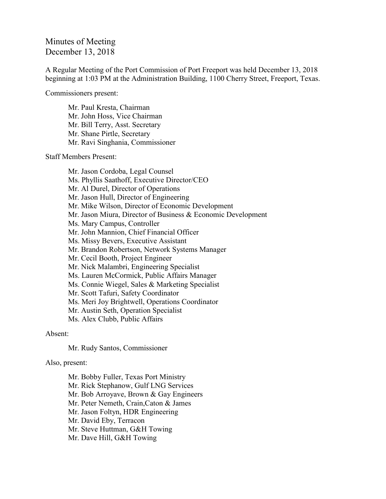## Minutes of Meeting December 13, 2018

A Regular Meeting of the Port Commission of Port Freeport was held December 13, 2018 beginning at 1:03 PM at the Administration Building, 1100 Cherry Street, Freeport, Texas.

Commissioners present:

Mr. Paul Kresta, Chairman Mr. John Hoss, Vice Chairman Mr. Bill Terry, Asst. Secretary Mr. Shane Pirtle, Secretary Mr. Ravi Singhania, Commissioner

Staff Members Present:

Mr. Jason Cordoba, Legal Counsel Ms. Phyllis Saathoff, Executive Director/CEO Mr. Al Durel, Director of Operations Mr. Jason Hull, Director of Engineering Mr. Mike Wilson, Director of Economic Development Mr. Jason Miura, Director of Business & Economic Development Ms. Mary Campus, Controller Mr. John Mannion, Chief Financial Officer Ms. Missy Bevers, Executive Assistant Mr. Brandon Robertson, Network Systems Manager Mr. Cecil Booth, Project Engineer Mr. Nick Malambri, Engineering Specialist Ms. Lauren McCormick, Public Affairs Manager Ms. Connie Wiegel, Sales & Marketing Specialist Mr. Scott Tafuri, Safety Coordinator Ms. Meri Joy Brightwell, Operations Coordinator Mr. Austin Seth, Operation Specialist Ms. Alex Clubb, Public Affairs

Absent:

Mr. Rudy Santos, Commissioner

Also, present:

Mr. Bobby Fuller, Texas Port Ministry Mr. Rick Stephanow, Gulf LNG Services Mr. Bob Arroyave, Brown & Gay Engineers Mr. Peter Nemeth, Crain,Caton & James Mr. Jason Foltyn, HDR Engineering Mr. David Eby, Terracon Mr. Steve Huttman, G&H Towing Mr. Dave Hill, G&H Towing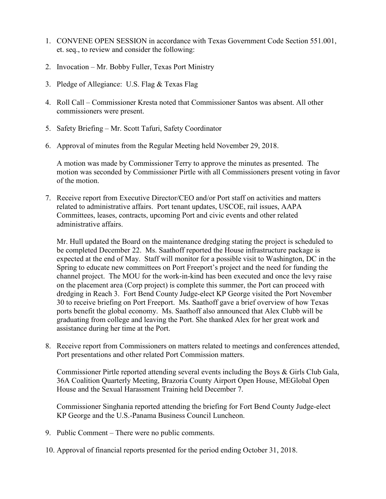- 1. CONVENE OPEN SESSION in accordance with Texas Government Code Section 551.001, et. seq., to review and consider the following:
- 2. Invocation Mr. Bobby Fuller, Texas Port Ministry
- 3. Pledge of Allegiance: U.S. Flag & Texas Flag
- 4. Roll Call Commissioner Kresta noted that Commissioner Santos was absent. All other commissioners were present.
- 5. Safety Briefing Mr. Scott Tafuri, Safety Coordinator
- 6. Approval of minutes from the Regular Meeting held November 29, 2018.

A motion was made by Commissioner Terry to approve the minutes as presented. The motion was seconded by Commissioner Pirtle with all Commissioners present voting in favor of the motion.

7. Receive report from Executive Director/CEO and/or Port staff on activities and matters related to administrative affairs. Port tenant updates, USCOE, rail issues, AAPA Committees, leases, contracts, upcoming Port and civic events and other related administrative affairs.

Mr. Hull updated the Board on the maintenance dredging stating the project is scheduled to be completed December 22. Ms. Saathoff reported the House infrastructure package is expected at the end of May. Staff will monitor for a possible visit to Washington, DC in the Spring to educate new committees on Port Freeport's project and the need for funding the channel project. The MOU for the work-in-kind has been executed and once the levy raise on the placement area (Corp project) is complete this summer, the Port can proceed with dredging in Reach 3. Fort Bend County Judge-elect KP George visited the Port November 30 to receive briefing on Port Freeport. Ms. Saathoff gave a brief overview of how Texas ports benefit the global economy. Ms. Saathoff also announced that Alex Clubb will be graduating from college and leaving the Port. She thanked Alex for her great work and assistance during her time at the Port.

8. Receive report from Commissioners on matters related to meetings and conferences attended, Port presentations and other related Port Commission matters.

Commissioner Pirtle reported attending several events including the Boys & Girls Club Gala, 36A Coalition Quarterly Meeting, Brazoria County Airport Open House, MEGlobal Open House and the Sexual Harassment Training held December 7.

Commissioner Singhania reported attending the briefing for Fort Bend County Judge-elect KP George and the U.S.-Panama Business Council Luncheon.

- 9. Public Comment There were no public comments.
- 10. Approval of financial reports presented for the period ending October 31, 2018.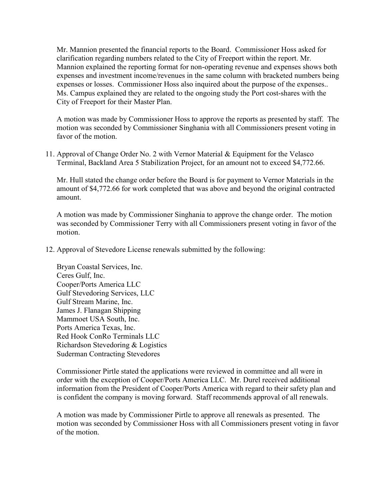Mr. Mannion presented the financial reports to the Board. Commissioner Hoss asked for clarification regarding numbers related to the City of Freeport within the report. Mr. Mannion explained the reporting format for non-operating revenue and expenses shows both expenses and investment income/revenues in the same column with bracketed numbers being expenses or losses. Commissioner Hoss also inquired about the purpose of the expenses.. Ms. Campus explained they are related to the ongoing study the Port cost-shares with the City of Freeport for their Master Plan.

A motion was made by Commissioner Hoss to approve the reports as presented by staff. The motion was seconded by Commissioner Singhania with all Commissioners present voting in favor of the motion.

11. Approval of Change Order No. 2 with Vernor Material & Equipment for the Velasco Terminal, Backland Area 5 Stabilization Project, for an amount not to exceed \$4,772.66.

Mr. Hull stated the change order before the Board is for payment to Vernor Materials in the amount of \$4,772.66 for work completed that was above and beyond the original contracted amount.

A motion was made by Commissioner Singhania to approve the change order. The motion was seconded by Commissioner Terry with all Commissioners present voting in favor of the motion.

12. Approval of Stevedore License renewals submitted by the following:

Bryan Coastal Services, Inc. Ceres Gulf, Inc. Cooper/Ports America LLC Gulf Stevedoring Services, LLC Gulf Stream Marine, Inc. James J. Flanagan Shipping Mammoet USA South, Inc. Ports America Texas, Inc. Red Hook ConRo Terminals LLC Richardson Stevedoring & Logistics Suderman Contracting Stevedores

Commissioner Pirtle stated the applications were reviewed in committee and all were in order with the exception of Cooper/Ports America LLC. Mr. Durel received additional information from the President of Cooper/Ports America with regard to their safety plan and is confident the company is moving forward. Staff recommends approval of all renewals.

A motion was made by Commissioner Pirtle to approve all renewals as presented. The motion was seconded by Commissioner Hoss with all Commissioners present voting in favor of the motion.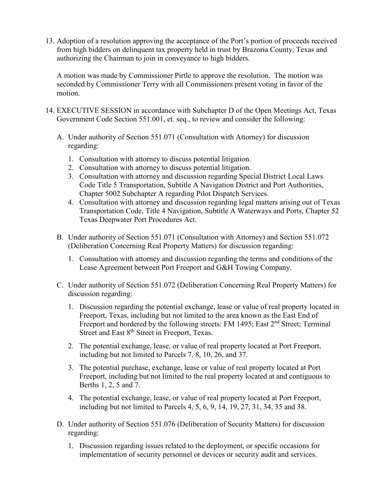13. Adoption of a resolution approving the acceptance of the Port's portion of proceeds received from high bidders on delinquent tax property held in trust by Brazoria County, Texas and authorizing the Chairman to join in conveyance to high bidders.

A motion was made by Commissioner Pirtle to approve the resolution. The motion was seconded by Commissioner Terry with all Commissioners present voting in favor of the motion.

- 14. EXECUTIVE SESSION in accordance with Subchapter D of the Open Meetings Act, Texas Government Code Section 551.001, et. seq., to review and consider the following:
	- A. Under authority of Section 551.071 (Consultation with Attorney) for discussion regarding:
		- 1. Consultation with attorney to discuss potential litigation.
		- 2. Consultation with attorney to discuss potential litigation.
		- 3. Consultation with attorney and discussion regarding Special District Local Laws Code Title 5 Transportation, Subtitle A Navigation District and Port Authorities, Chapter 5002 Subchapter A regarding Pilot Dispatch Services.
		- 4. Consultation with attorney and discussion regarding legal matters arising out of Texas Transportation Code, Title 4 Navigation, Subtitle A Waterways and Ports, Chapter 52 Texas Deepwater Port Procedures Act.
	- B. Under authority of Section 551.071 (Consultation with Attorney) and Section 551.072 (Deliberation Concerning Real Property Matters) for discussion regarding:
		- 1. Consultation with attorney and discussion regarding the terms and conditions of the Lease Agreement between Port Freeport and G&H Towing Company.
	- C. Under authority of Section 551.072 (Deliberation Concerning Real Property Matters) for discussion regarding:
		- 1. Discussion regarding the potential exchange, lease or value of real property located in Freeport, Texas, including but not limited to the area known as the East End of Freeport and bordered by the following streets: FM 1495; East 2<sup>nd</sup> Street; Terminal Street and East 8<sup>th</sup> Street in Freeport, Texas.
		- 2. The potential exchange, lease, or value of real property located at Port Freeport, including but not limited to Parcels 7, 8, 10, 26, and 37.
		- 3. The potential purchase, exchange, lease or value of real property located at Port Freeport, including but not limited to the real property located at and contiguous to Berths 1, 2, 5 and 7.
		- 4. The potential exchange, lease, or value of real property located at Port Freeport, including but not limited to Parcels 4, 5, 6, 9, 14, 19, 27, 31, 34, 35 and 38.
	- D. Under authority of Section 551.076 (Deliberation of Security Matters) for discussion regarding:
		- 1. Discussion regarding issues related to the deployment, or specific occasions for implementation of security personnel or devices or security audit and services.